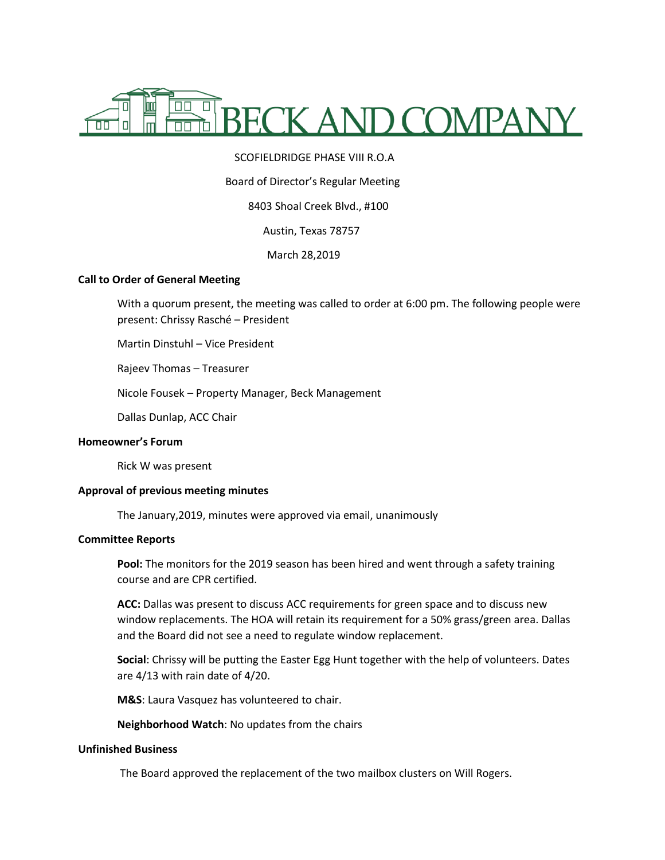

# SCOFIELDRIDGE PHASE VIII R.O.A

### Board of Director's Regular Meeting

# 8403 Shoal Creek Blvd., #100

Austin, Texas 78757

March 28,2019

## **Call to Order of General Meeting**

With a quorum present, the meeting was called to order at 6:00 pm. The following people were present: Chrissy Rasché – President

Martin Dinstuhl – Vice President

Rajeev Thomas – Treasurer

Nicole Fousek – Property Manager, Beck Management

Dallas Dunlap, ACC Chair

# **Homeowner's Forum**

Rick W was present

### **Approval of previous meeting minutes**

The January,2019, minutes were approved via email, unanimously

#### **Committee Reports**

**Pool:** The monitors for the 2019 season has been hired and went through a safety training course and are CPR certified.

**ACC:** Dallas was present to discuss ACC requirements for green space and to discuss new window replacements. The HOA will retain its requirement for a 50% grass/green area. Dallas and the Board did not see a need to regulate window replacement.

**Social**: Chrissy will be putting the Easter Egg Hunt together with the help of volunteers. Dates are 4/13 with rain date of 4/20.

**M&S**: Laura Vasquez has volunteered to chair.

**Neighborhood Watch**: No updates from the chairs

#### **Unfinished Business**

The Board approved the replacement of the two mailbox clusters on Will Rogers.